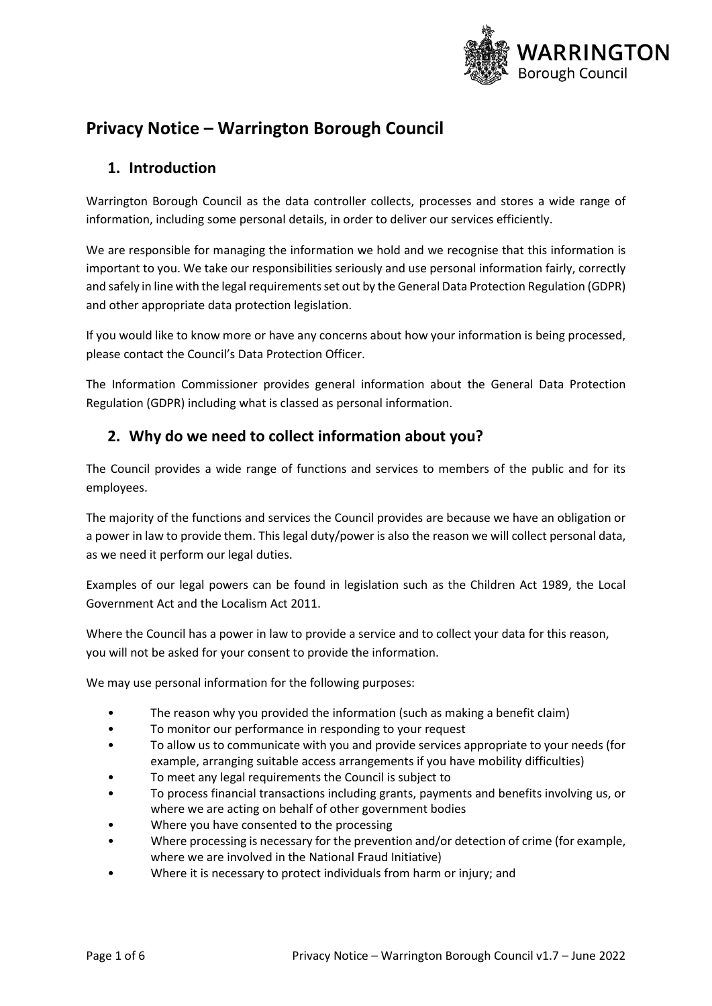

# **Privacy Notice – Warrington Borough Council**

### **1. Introduction**

Warrington Borough Council as the data controller collects, processes and stores a wide range of information, including some personal details, in order to deliver our services efficiently.

We are responsible for managing the information we hold and we recognise that this information is important to you. We take our responsibilities seriously and use personal information fairly, correctly and safely in line with the legal requirements set out by the General Data Protection Regulation (GDPR) and other appropriate data protection legislation.

If you would like to know more or have any concerns about how your information is being processed, please contact the Council's Data Protection Officer.

The Information Commissioner provides general information about the General Data Protection Regulation (GDPR) including what is classed as personal information.

### **2. Why do we need to collect information about you?**

The Council provides a wide range of functions and services to members of the public and for its employees.

The majority of the functions and services the Council provides are because we have an obligation or a power in law to provide them. This legal duty/power is also the reason we will collect personal data, as we need it perform our legal duties.

Examples of our legal powers can be found in legislation such as the Children Act 1989, the Local Government Act and the Localism Act 2011.

Where the Council has a power in law to provide a service and to collect your data for this reason, you will not be asked for your consent to provide the information.

We may use personal information for the following purposes:

- The reason why you provided the information (such as making a benefit claim)
- To monitor our performance in responding to your request
- To allow us to communicate with you and provide services appropriate to your needs (for example, arranging suitable access arrangements if you have mobility difficulties)
- To meet any legal requirements the Council is subject to
- To process financial transactions including grants, payments and benefits involving us, or where we are acting on behalf of other government bodies
- Where you have consented to the processing
- Where processing is necessary for the prevention and/or detection of crime (for example, where we are involved in the National Fraud Initiative)
- Where it is necessary to protect individuals from harm or injury; and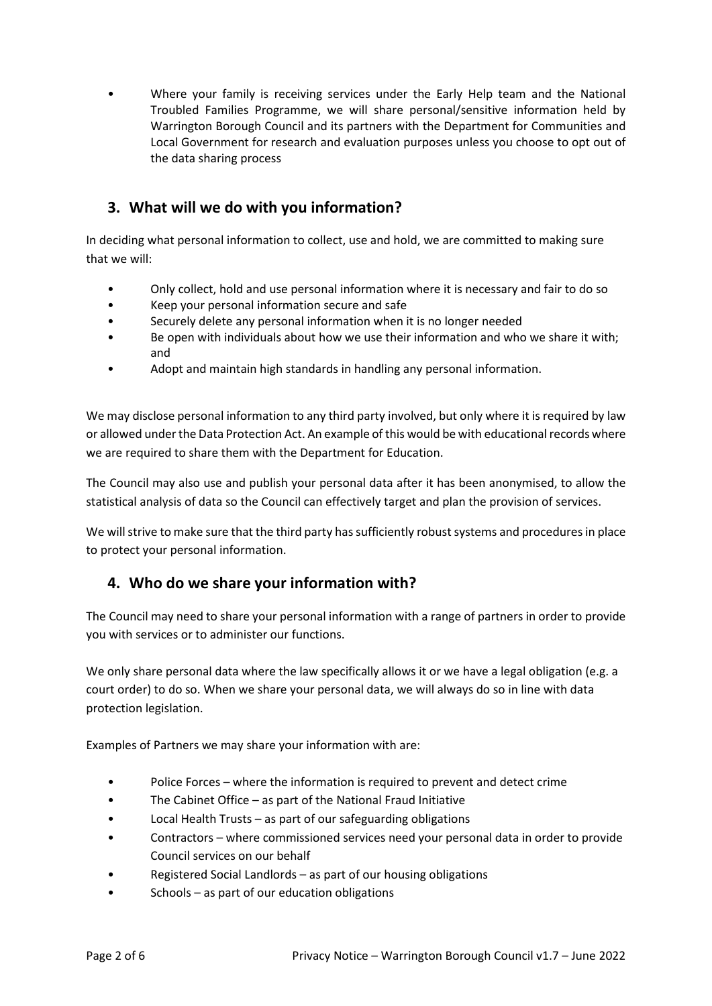• Where your family is receiving services under the Early Help team and the National Troubled Families Programme, we will share personal/sensitive information held by Warrington Borough Council and its partners with the Department for Communities and Local Government for research and evaluation purposes unless you choose to opt out of the data sharing process

## **3. What will we do with you information?**

In deciding what personal information to collect, use and hold, we are committed to making sure that we will:

- Only collect, hold and use personal information where it is necessary and fair to do so
- Keep your personal information secure and safe
- Securely delete any personal information when it is no longer needed
- Be open with individuals about how we use their information and who we share it with; and
- Adopt and maintain high standards in handling any personal information.

We may disclose personal information to any third party involved, but only where it is required by law or allowed under the Data Protection Act. An example of this would be with educational records where we are required to share them with the Department for Education.

The Council may also use and publish your personal data after it has been anonymised, to allow the statistical analysis of data so the Council can effectively target and plan the provision of services.

We will strive to make sure that the third party has sufficiently robust systems and procedures in place to protect your personal information.

### **4. Who do we share your information with?**

The Council may need to share your personal information with a range of partners in order to provide you with services or to administer our functions.

We only share personal data where the law specifically allows it or we have a legal obligation (e.g. a court order) to do so. When we share your personal data, we will always do so in line with data protection legislation.

Examples of Partners we may share your information with are:

- Police Forces where the information is required to prevent and detect crime
- The Cabinet Office as part of the National Fraud Initiative
- Local Health Trusts as part of our safeguarding obligations
- Contractors where commissioned services need your personal data in order to provide Council services on our behalf
- Registered Social Landlords as part of our housing obligations
- $Sttools as part of our education obligations$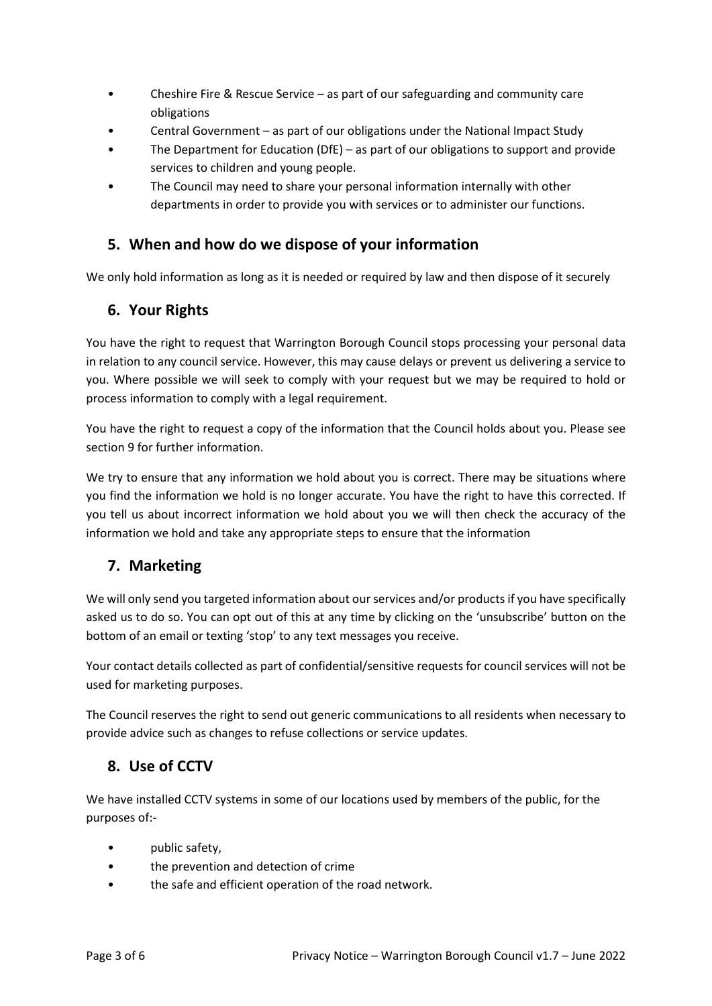- Cheshire Fire & Rescue Service as part of our safeguarding and community care obligations
- Central Government as part of our obligations under the National Impact Study
- The Department for Education (DfE) as part of our obligations to support and provide services to children and young people.
- The Council may need to share your personal information internally with other departments in order to provide you with services or to administer our functions.

### **5. When and how do we dispose of your information**

We only hold information as long as it is needed or required by law and then dispose of it securely

#### **6. Your Rights**

You have the right to request that Warrington Borough Council stops processing your personal data in relation to any council service. However, this may cause delays or prevent us delivering a service to you. Where possible we will seek to comply with your request but we may be required to hold or process information to comply with a legal requirement.

You have the right to request a copy of the information that the Council holds about you. Please see section 9 for further information.

We try to ensure that any information we hold about you is correct. There may be situations where you find the information we hold is no longer accurate. You have the right to have this corrected. If you tell us about incorrect information we hold about you we will then check the accuracy of the information we hold and take any appropriate steps to ensure that the information

### **7. Marketing**

We will only send you targeted information about our services and/or products if you have specifically asked us to do so. You can opt out of this at any time by clicking on the 'unsubscribe' button on the bottom of an email or texting 'stop' to any text messages you receive.

Your contact details collected as part of confidential/sensitive requests for council services will not be used for marketing purposes.

The Council reserves the right to send out generic communications to all residents when necessary to provide advice such as changes to refuse collections or service updates.

### **8. Use of CCTV**

We have installed CCTV systems in some of our locations used by members of the public, for the purposes of:-

- public safety,
- the prevention and detection of crime
- the safe and efficient operation of the road network.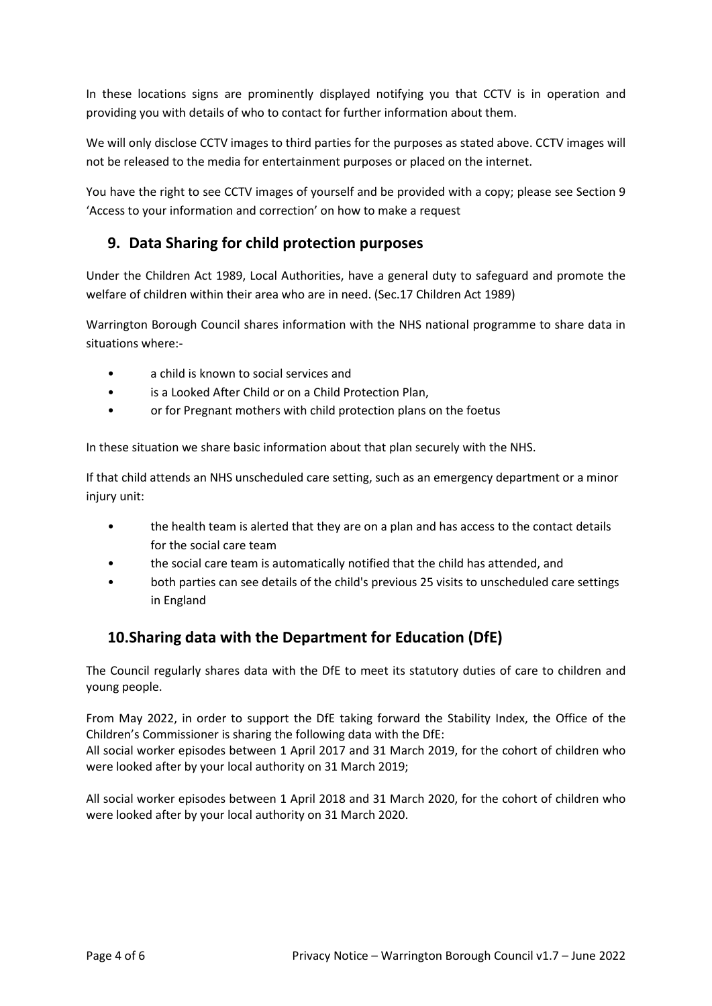In these locations signs are prominently displayed notifying you that CCTV is in operation and providing you with details of who to contact for further information about them.

We will only disclose CCTV images to third parties for the purposes as stated above. CCTV images will not be released to the media for entertainment purposes or placed on the internet.

You have the right to see CCTV images of yourself and be provided with a copy; please see Section 9 'Access to your information and correction' on how to make a request

### **9. Data Sharing for child protection purposes**

Under the Children Act 1989, Local Authorities, have a general duty to safeguard and promote the welfare of children within their area who are in need. (Sec.17 Children Act 1989)

Warrington Borough Council shares information with the NHS national programme to share data in situations where:-

- a child is known to social services and
- is a Looked After Child or on a Child Protection Plan,
- or for Pregnant mothers with child protection plans on the foetus

In these situation we share basic information about that plan securely with the NHS.

If that child attends an NHS unscheduled care setting, such as an emergency department or a minor injury unit:

- the health team is alerted that they are on a plan and has access to the contact details for the social care team
- the social care team is automatically notified that the child has attended, and
- both parties can see details of the child's previous 25 visits to unscheduled care settings in England

### **10.Sharing data with the Department for Education (DfE)**

The Council regularly shares data with the DfE to meet its statutory duties of care to children and young people.

From May 2022, in order to support the DfE taking forward the Stability Index, the Office of the Children's Commissioner is sharing the following data with the DfE: All social worker episodes between 1 April 2017 and 31 March 2019, for the cohort of children who

were looked after by your local authority on 31 March 2019;

All social worker episodes between 1 April 2018 and 31 March 2020, for the cohort of children who were looked after by your local authority on 31 March 2020.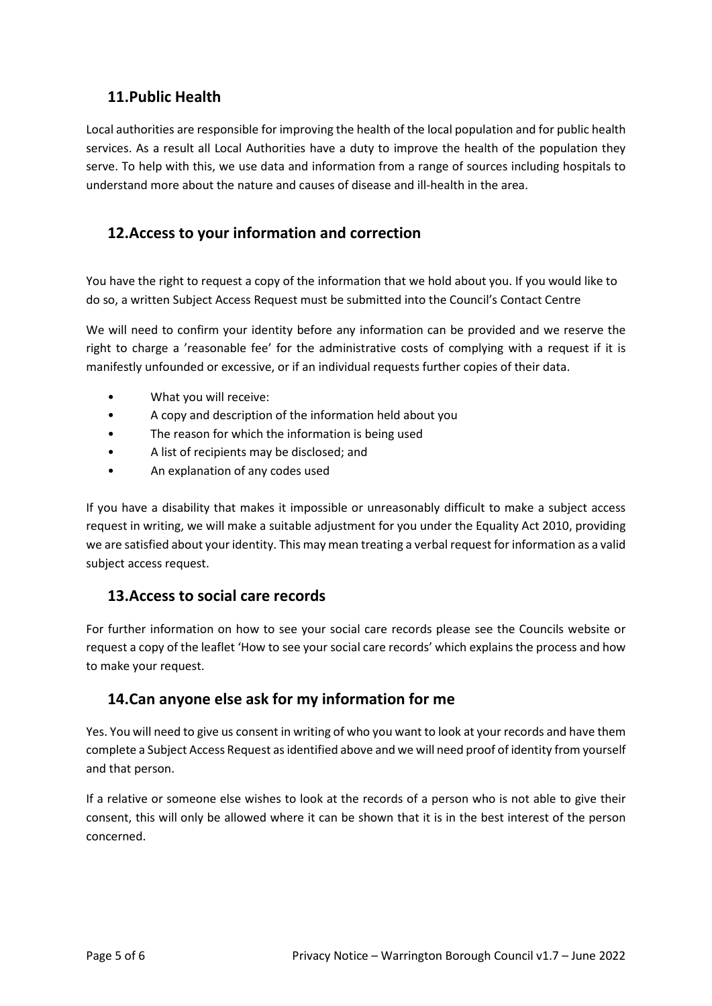### **11.Public Health**

Local authorities are responsible for improving the health of the local population and for public health services. As a result all Local Authorities have a duty to improve the health of the population they serve. To help with this, we use data and information from a range of sources including hospitals to understand more about the nature and causes of disease and ill-health in the area.

### **12.Access to your information and correction**

You have the right to request a copy of the information that we hold about you. If you would like to do so, a written Subject Access Request must be submitted into the Council's Contact Centre

We will need to confirm your identity before any information can be provided and we reserve the right to charge a 'reasonable fee' for the administrative costs of complying with a request if it is manifestly unfounded or excessive, or if an individual requests further copies of their data.

- What you will receive:
- A copy and description of the information held about you
- The reason for which the information is being used
- A list of recipients may be disclosed; and
- An explanation of any codes used

If you have a disability that makes it impossible or unreasonably difficult to make a subject access request in writing, we will make a suitable adjustment for you under the Equality Act 2010, providing we are satisfied about your identity. This may mean treating a verbal request for information as a valid subject access request.

### **13.Access to social care records**

For further information on how to see your social care records please see the Councils website or request a copy of the leaflet 'How to see your social care records' which explains the process and how to make your request.

### **14.Can anyone else ask for my information for me**

Yes. You will need to give us consent in writing of who you want to look at your records and have them complete a Subject Access Request as identified above and we will need proof of identity from yourself and that person.

If a relative or someone else wishes to look at the records of a person who is not able to give their consent, this will only be allowed where it can be shown that it is in the best interest of the person concerned.